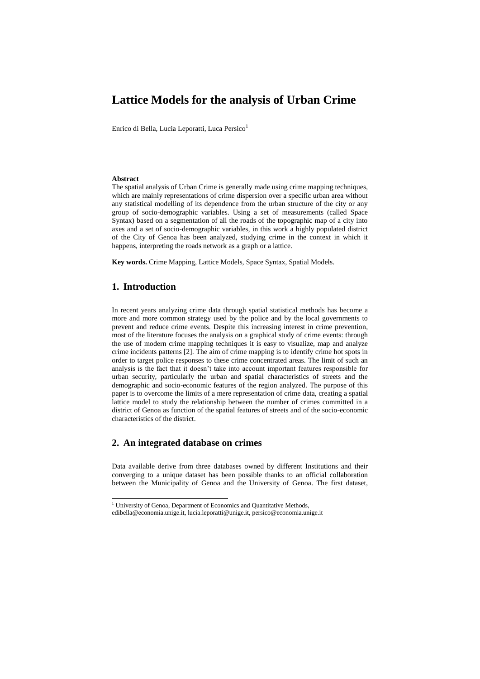# **Lattice Models for the analysis of Urban Crime**

Enrico di Bella, Lucia Leporatti, Luca Persico<sup>1</sup>

#### **Abstract**

The spatial analysis of Urban Crime is generally made using crime mapping techniques, which are mainly representations of crime dispersion over a specific urban area without any statistical modelling of its dependence from the urban structure of the city or any group of socio-demographic variables. Using a set of measurements (called Space Syntax) based on a segmentation of all the roads of the topographic map of a city into axes and a set of socio-demographic variables, in this work a highly populated district of the City of Genoa has been analyzed, studying crime in the context in which it happens, interpreting the roads network as a graph or a lattice.

**Key words.** Crime Mapping, Lattice Models, Space Syntax, Spatial Models.

#### **1. Introduction**

1

In recent years analyzing crime data through spatial statistical methods has become a more and more common strategy used by the police and by the local governments to prevent and reduce crime events. Despite this increasing interest in crime prevention, most of the literature focuses the analysis on a graphical study of crime events: through the use of modern crime mapping techniques it is easy to visualize, map and analyze crime incidents patterns [2]. The aim of crime mapping is to identify crime hot spots in order to target police responses to these crime concentrated areas. The limit of such an analysis is the fact that it doesn't take into account important features responsible for urban security, particularly the urban and spatial characteristics of streets and the demographic and socio-economic features of the region analyzed. The purpose of this paper is to overcome the limits of a mere representation of crime data, creating a spatial lattice model to study the relationship between the number of crimes committed in a district of Genoa as function of the spatial features of streets and of the socio-economic characteristics of the district.

#### **2. An integrated database on crimes**

Data available derive from three databases owned by different Institutions and their converging to a unique dataset has been possible thanks to an official collaboration between the Municipality of Genoa and the University of Genoa. The first dataset,

<sup>&</sup>lt;sup>1</sup> University of Genoa, Department of Economics and Quantitative Methods,

edibella@economia.unige.it, lucia.leporatti@unige.it, persico@economia.unige.it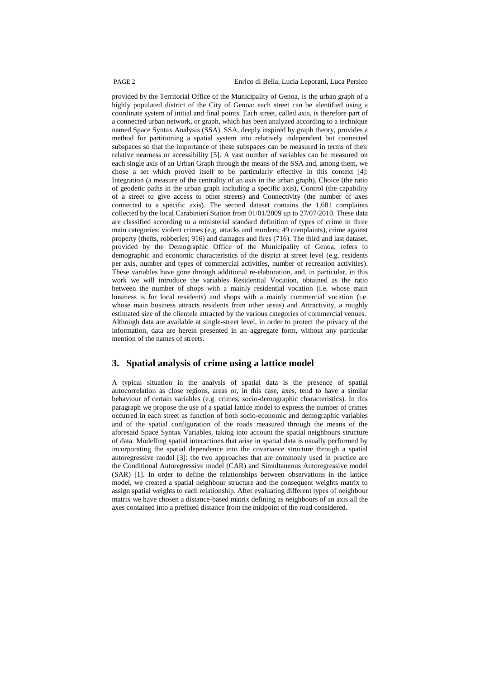provided by the Territorial Office of the Municipality of Genoa, is the urban graph of a highly populated district of the City of Genoa: each street can be identified using a coordinate system of initial and final points. Each street, called axis, is therefore part of a connected urban network, or graph, which has been analyzed according to a technique named Space Syntax Analysis (SSA). SSA, deeply inspired by graph theory, provides a method for partitioning a spatial system into relatively independent but connected subspaces so that the importance of these subspaces can be measured in terms of their relative nearness or accessibility [5]. A vast number of variables can be measured on each single axis of an Urban Graph through the means of the SSA and, among them, we chose a set which proved itself to be particularly effective in this context [4]: Integration (a measure of the centrality of an axis in the urban graph), Choice (the ratio of geodetic paths in the urban graph including a specific axis), Control (the capability of a street to give access to other streets) and Connectivity (the number of axes connected to a specific axis). The second dataset contains the 1,681 complaints collected by the local Carabinieri Station from 01/01/2009 up to 27/07/2010. These data are classified according to a ministerial standard definition of types of crime in three main categories: violent crimes (e.g. attacks and murders; 49 complaints), crime against property (thefts, robberies; 916) and damages and fires (716). The third and last dataset, provided by the Demographic Office of the Municipality of Genoa, refers to demographic and economic characteristics of the district at street level (e.g. residents per axis, number and types of commercial activities, number of recreation activities). These variables have gone through additional re-elaboration, and, in particular, in this work we will introduce the variables Residential Vocation, obtained as the ratio between the number of shops with a mainly residential vocation (i.e. whose main business is for local residents) and shops with a mainly commercial vocation (i.e. whose main business attracts residents from other areas) and Attractivity, a roughly estimated size of the clientele attracted by the various categories of commercial venues. Although data are available at single-street level, in order to protect the privacy of the information, data are herein presented in an aggregate form, without any particular mention of the names of streets.

#### **3. Spatial analysis of crime using a lattice model**

A typical situation in the analysis of spatial data is the presence of spatial autocorrelation as close regions, areas or, in this case, axes, tend to have a similar behaviour of certain variables (e.g. crimes, socio-demographic characteristics). In this paragraph we propose the use of a spatial lattice model to express the number of crimes occurred in each street as function of both socio-economic and demographic variables and of the spatial configuration of the roads measured through the means of the aforesaid Space Syntax Variables, taking into account the spatial neighbours structure of data. Modelling spatial interactions that arise in spatial data is usually performed by incorporating the spatial dependence into the covariance structure through a spatial autoregressive model [3]: the two approaches that are commonly used in practice are the Conditional Autoregressive model (CAR) and Simultaneous Autoregressive model (SAR) [1]. In order to define the relationships between observations in the lattice model, we created a spatial neighbour structure and the consequent weights matrix to assign spatial weights to each relationship. After evaluating different types of neighbour matrix we have chosen a distance-based matrix defining as neighbours of an axis all the axes contained into a prefixed distance from the midpoint of the road considered.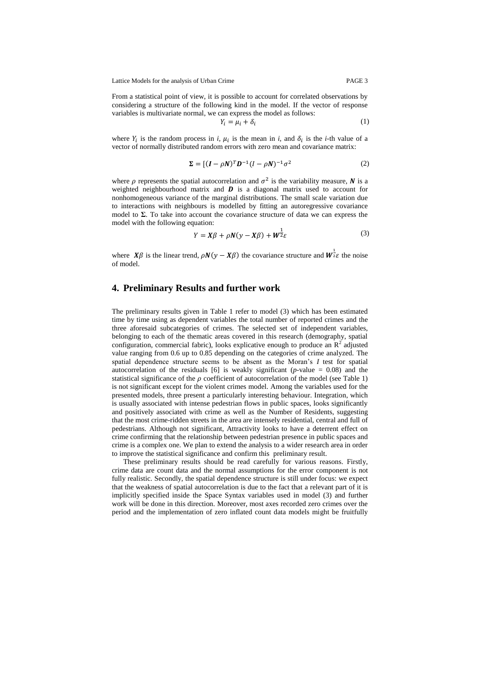Lattice Models for the analysis of Urban Crime PAGE 3

From a statistical point of view, it is possible to account for correlated observations by considering a structure of the following kind in the model. If the vector of response variables is multivariate normal, we can express the model as follows:  $Y_i$ 

$$
=\mu_i+\delta_i\tag{1}
$$

where  $Y_i$  is the random process in *i*,  $\mu_i$  is the mean in *i*, and  $\delta_i$  is the *i*-th value of a vector of normally distributed random errors with zero mean and covariance matrix:

$$
\Sigma = \left[ (I - \rho N)^T D^{-1} (I - \rho N)^{-1} \sigma^2 \right] \tag{2}
$$

where  $\rho$  represents the spatial autocorrelation and  $\sigma^2$  is the variability measure, N is a weighted neighbourhood matrix and  $\boldsymbol{D}$  is a diagonal matrix used to account for nonhomogeneous variance of the marginal distributions. The small scale variation due to interactions with neighbours is modelled by fitting an autoregressive covariance model to **Σ**. To take into account the covariance structure of data we can express the model with the following equation:

$$
Y = X\beta + \rho N(y - X\beta) + W^{\frac{1}{2}}\varepsilon
$$
\n(3)

where  $X\beta$  is the linear trend,  $\rho N(y - X\beta)$  the covariance structure and  $W^{\frac{1}{2}}\varepsilon$  the noise of model.

## **4. Preliminary Results and further work**

The preliminary results given in Table 1 refer to model (3) which has been estimated time by time using as dependent variables the total number of reported crimes and the three aforesaid subcategories of crimes. The selected set of independent variables, belonging to each of the thematic areas covered in this research (demography, spatial configuration, commercial fabric), looks explicative enough to produce an  $\mathbb{R}^2$  adjusted value ranging from 0.6 up to 0.85 depending on the categories of crime analyzed. The spatial dependence structure seems to be absent as the Moran's *I* test for spatial autocorrelation of the residuals [6] is weakly significant ( $p$ -value = 0.08) and the statistical significance of the  $\rho$  coefficient of autocorrelation of the model (see Table 1) is not significant except for the violent crimes model. Among the variables used for the presented models, three present a particularly interesting behaviour. Integration, which is usually associated with intense pedestrian flows in public spaces, looks significantly and positively associated with crime as well as the Number of Residents, suggesting that the most crime-ridden streets in the area are intensely residential, central and full of pedestrians. Although not significant, Attractivity looks to have a deterrent effect on crime confirming that the relationship between pedestrian presence in public spaces and crime is a complex one. We plan to extend the analysis to a wider research area in order to improve the statistical significance and confirm this preliminary result.

These preliminary results should be read carefully for various reasons. Firstly, crime data are count data and the normal assumptions for the error component is not fully realistic. Secondly, the spatial dependence structure is still under focus: we expect that the weakness of spatial autocorrelation is due to the fact that a relevant part of it is implicitly specified inside the Space Syntax variables used in model (3) and further work will be done in this direction. Moreover, most axes recorded zero crimes over the period and the implementation of zero inflated count data models might be fruitfully